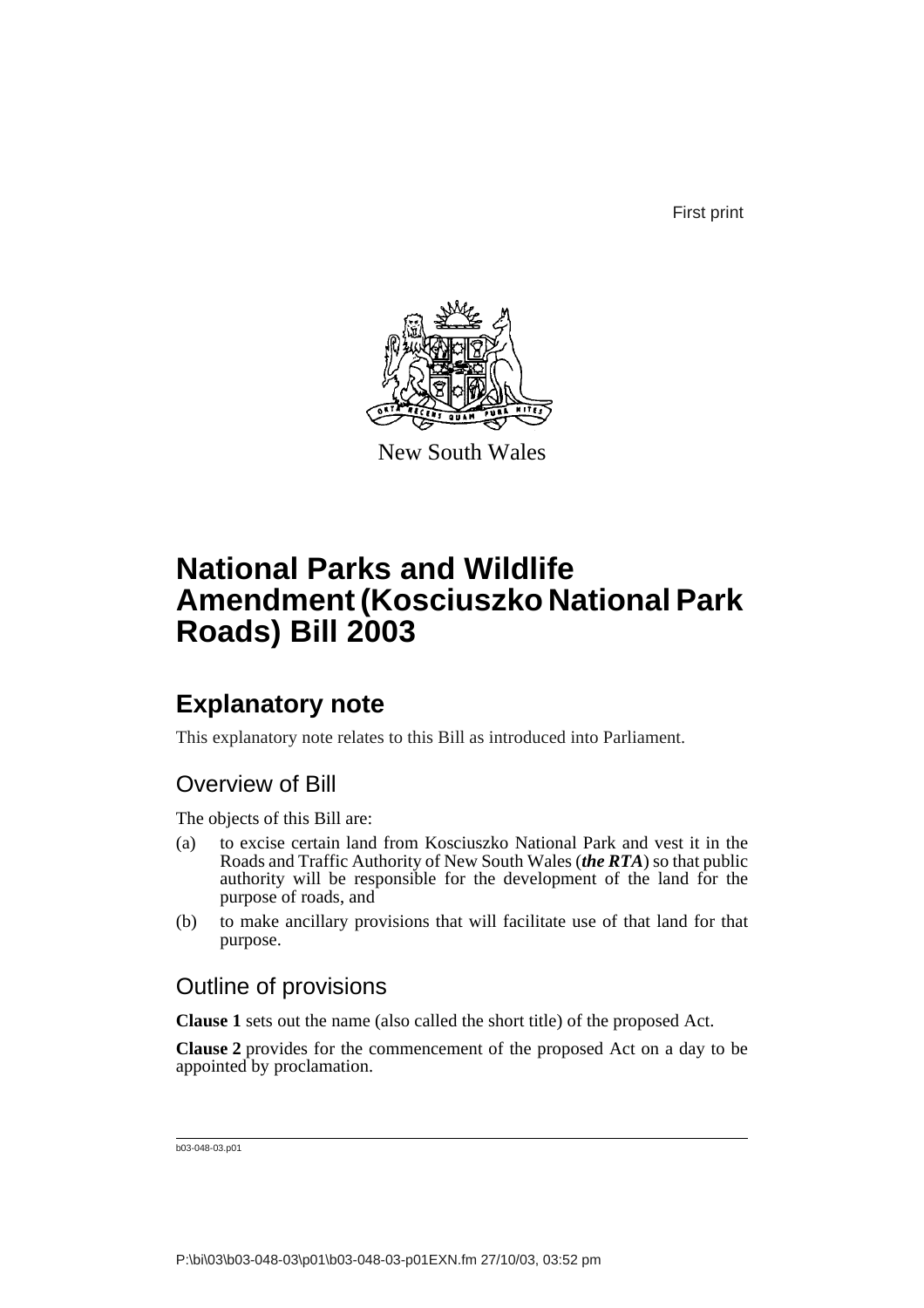First print



New South Wales

## **National Parks and Wildlife Amendment (Kosciuszko National Park Roads) Bill 2003**

### **Explanatory note**

This explanatory note relates to this Bill as introduced into Parliament.

### Overview of Bill

The objects of this Bill are:

- (a) to excise certain land from Kosciuszko National Park and vest it in the Roads and Traffic Authority of New South Wales (*the RTA*) so that public authority will be responsible for the development of the land for the purpose of roads, and
- (b) to make ancillary provisions that will facilitate use of that land for that purpose.

#### Outline of provisions

**Clause 1** sets out the name (also called the short title) of the proposed Act.

**Clause 2** provides for the commencement of the proposed Act on a day to be appointed by proclamation.

```
b03-048-03.p01
```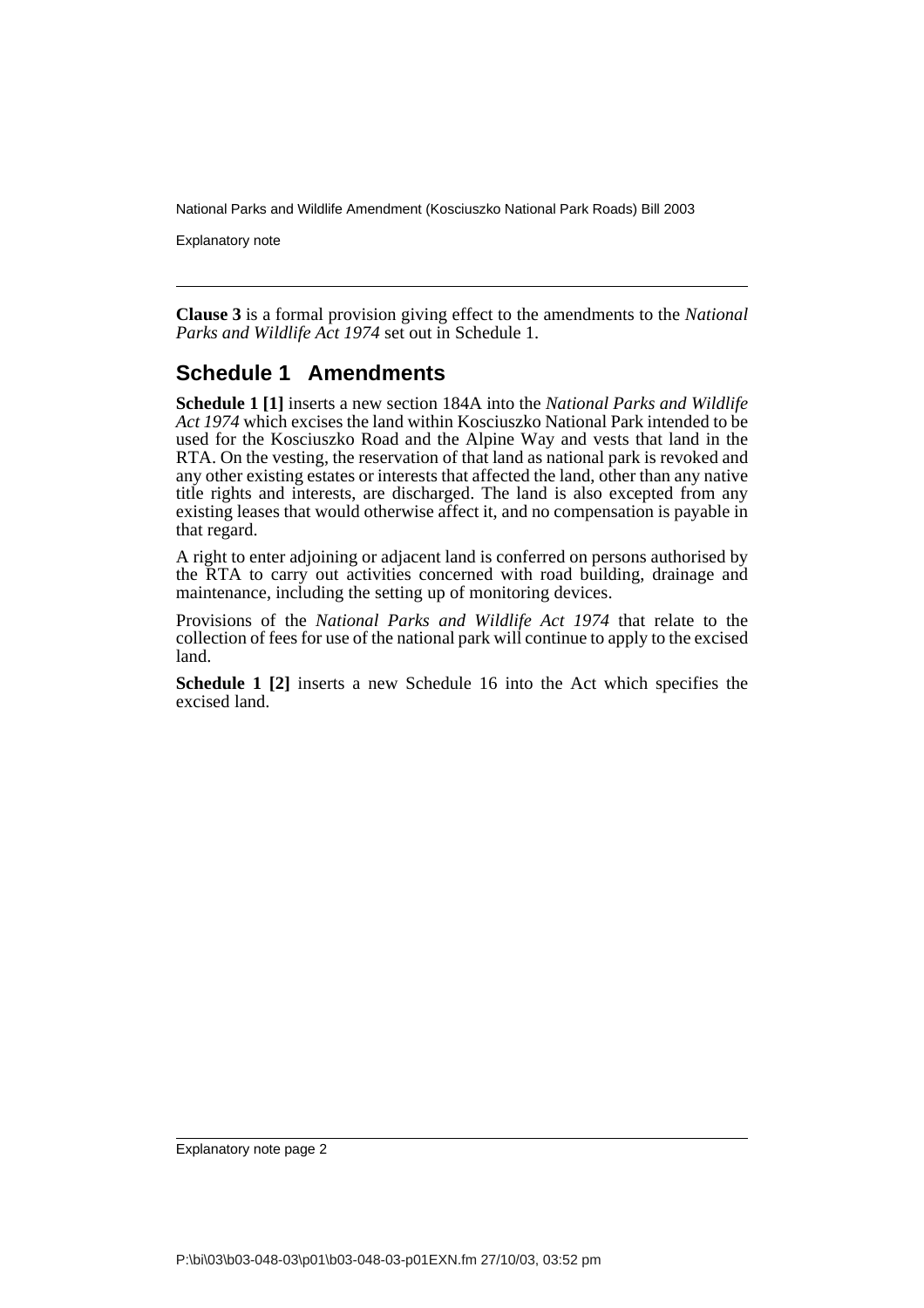Explanatory note

**Clause 3** is a formal provision giving effect to the amendments to the *National Parks and Wildlife Act 1974* set out in Schedule 1.

#### **Schedule 1 Amendments**

**Schedule 1 [1]** inserts a new section 184A into the *National Parks and Wildlife Act 1974* which excises the land within Kosciuszko National Park intended to be used for the Kosciuszko Road and the Alpine Way and vests that land in the RTA. On the vesting, the reservation of that land as national park is revoked and any other existing estates or interests that affected the land, other than any native title rights and interests, are discharged. The land is also excepted from any existing leases that would otherwise affect it, and no compensation is payable in that regard.

A right to enter adjoining or adjacent land is conferred on persons authorised by the RTA to carry out activities concerned with road building, drainage and maintenance, including the setting up of monitoring devices.

Provisions of the *National Parks and Wildlife Act 1974* that relate to the collection of fees for use of the national park will continue to apply to the excised land.

**Schedule 1 [2]** inserts a new Schedule 16 into the Act which specifies the excised land.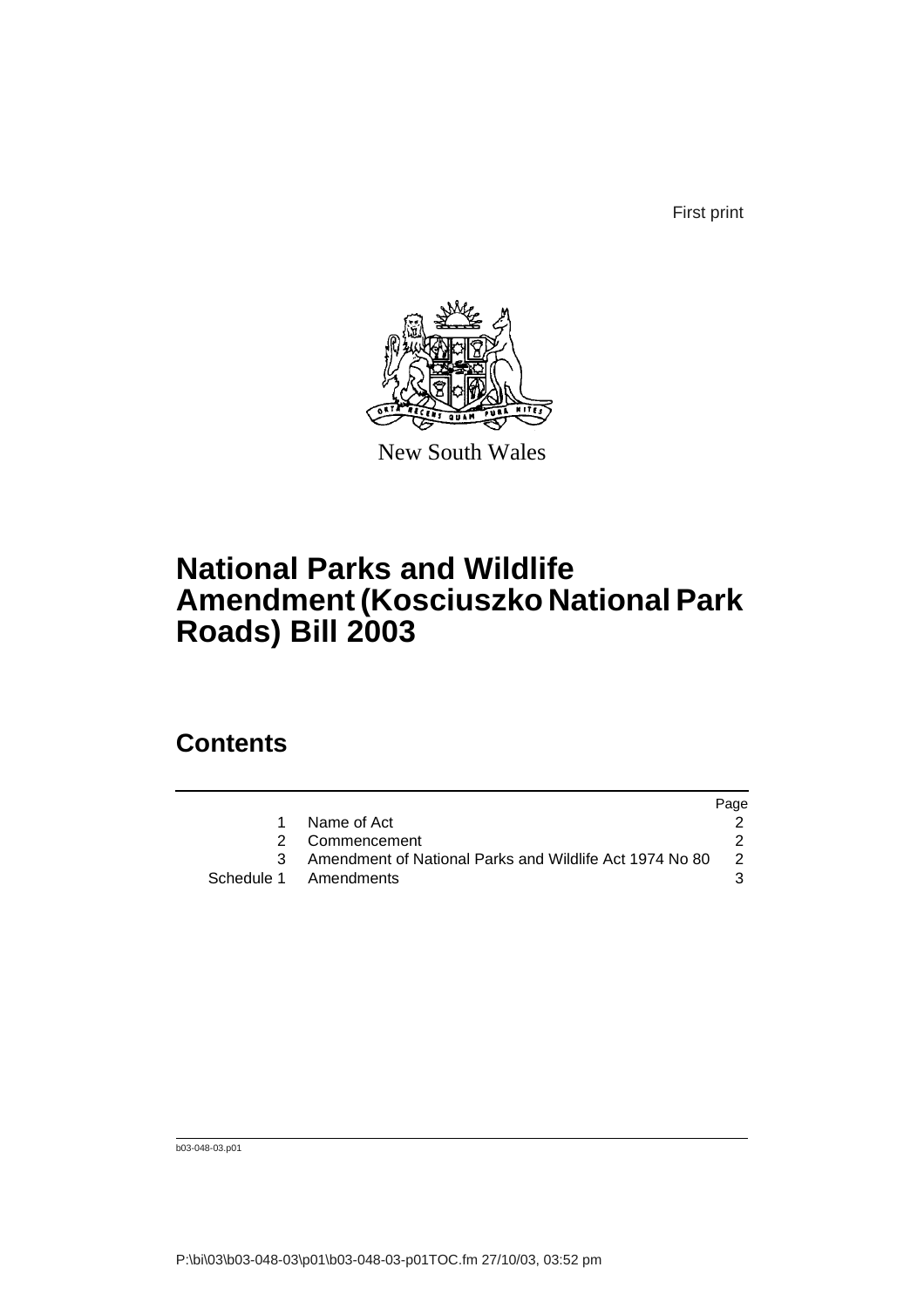First print



New South Wales

## **National Parks and Wildlife Amendment (Kosciuszko National Park Roads) Bill 2003**

### **Contents**

|                                                         | Page |
|---------------------------------------------------------|------|
| Name of Act                                             |      |
| 2 Commencement                                          |      |
| Amendment of National Parks and Wildlife Act 1974 No 80 | -2   |
| Schedule 1 Amendments                                   |      |

b03-048-03.p01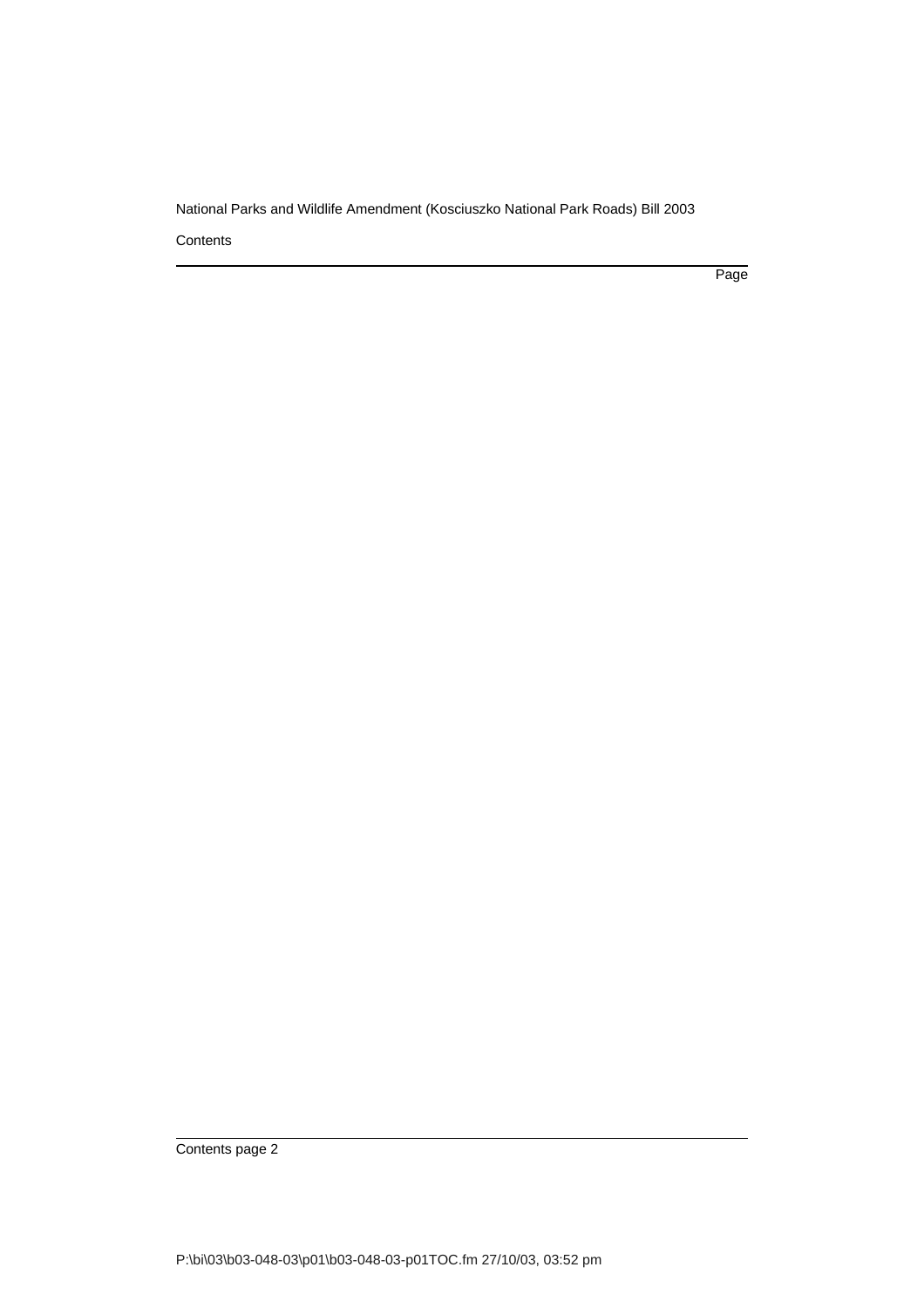**Contents** 

Page

Contents page 2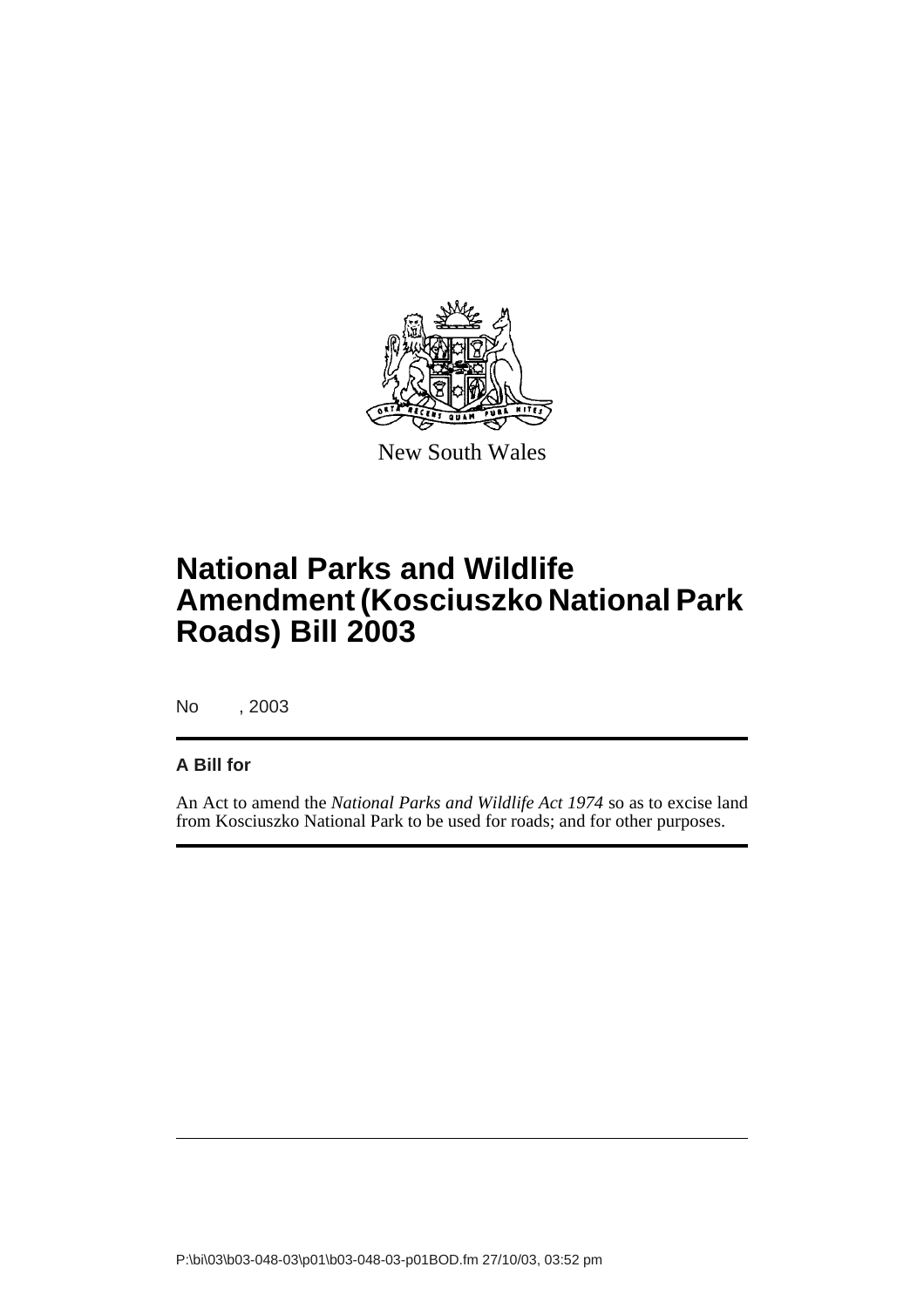

New South Wales

## **National Parks and Wildlife Amendment (Kosciuszko National Park Roads) Bill 2003**

No , 2003

#### **A Bill for**

An Act to amend the *National Parks and Wildlife Act 1974* so as to excise land from Kosciuszko National Park to be used for roads; and for other purposes.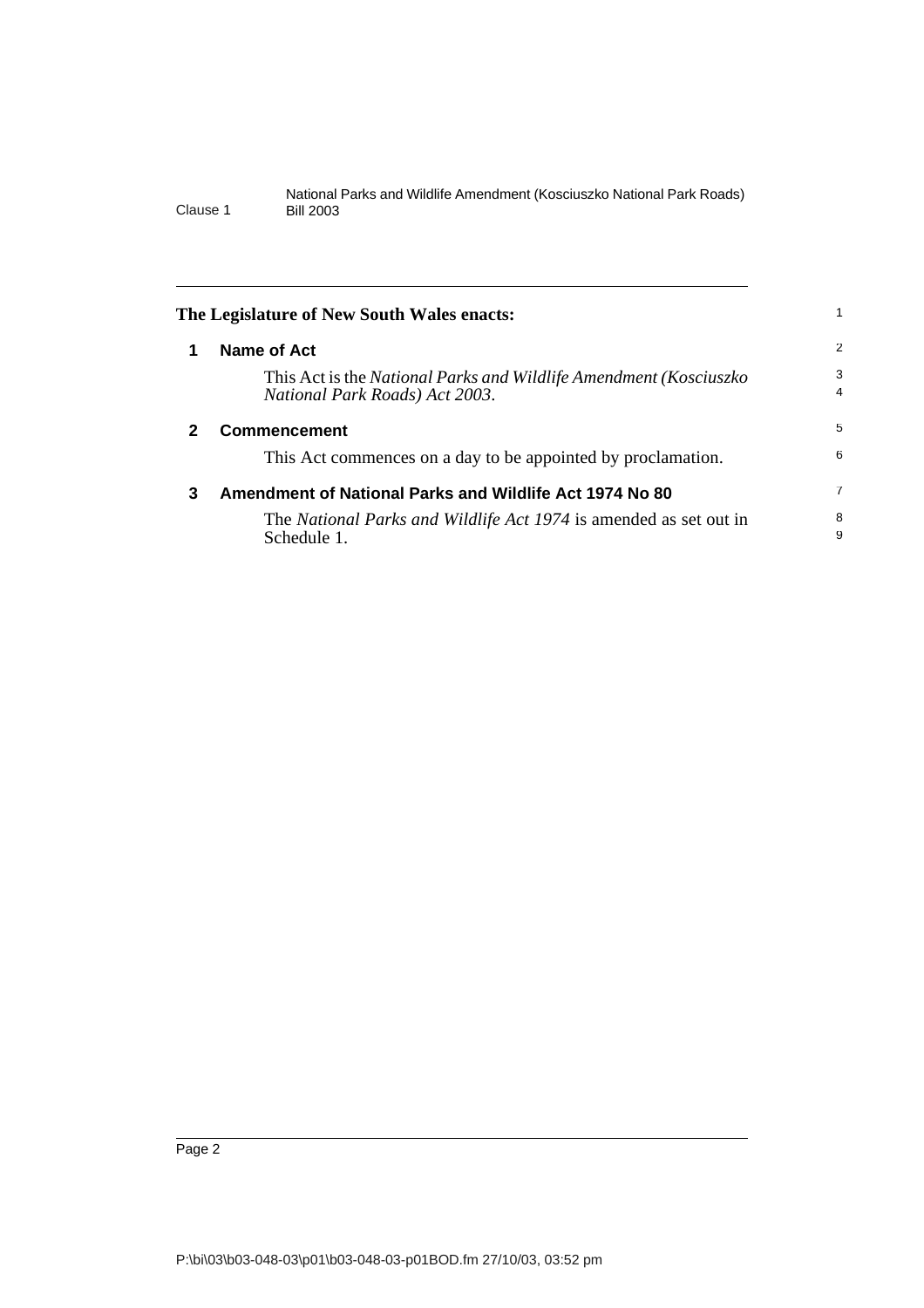<span id="page-5-2"></span><span id="page-5-1"></span><span id="page-5-0"></span>

|              | The Legislature of New South Wales enacts:                                                          |                     |
|--------------|-----------------------------------------------------------------------------------------------------|---------------------|
| 1            | Name of Act                                                                                         | 2                   |
|              | This Act is the National Parks and Wildlife Amendment (Kosciuszko<br>National Park Roads) Act 2003. | 3<br>$\overline{4}$ |
| $\mathbf{2}$ | <b>Commencement</b>                                                                                 | 5                   |
|              | This Act commences on a day to be appointed by proclamation.                                        | 6                   |
| 3            | Amendment of National Parks and Wildlife Act 1974 No 80                                             | 7                   |
|              | The National Parks and Wildlife Act 1974 is amended as set out in<br>Schedule 1.                    | 8<br>9              |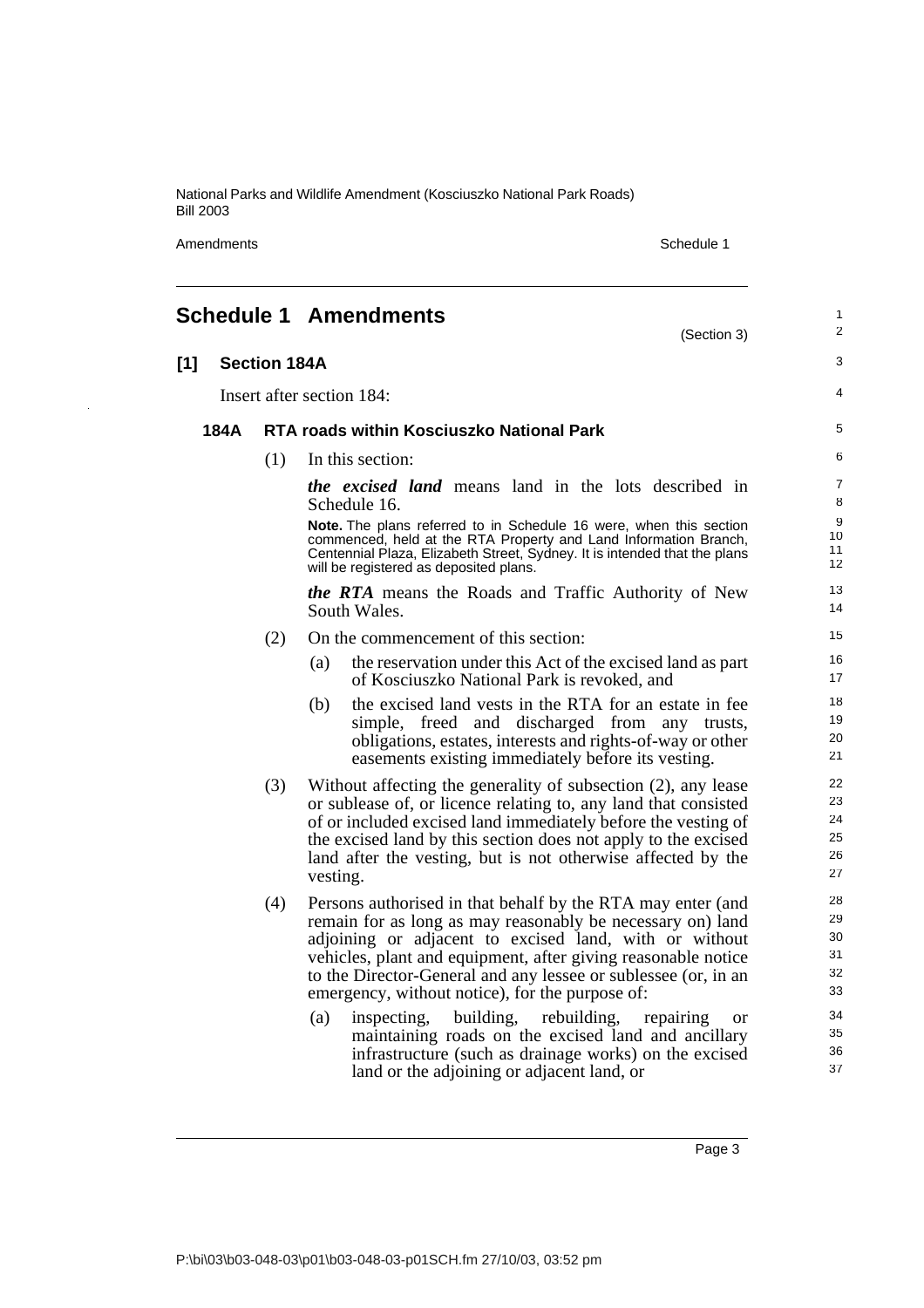Amendments Schedule 1

1

# <span id="page-6-0"></span>**Schedule 1 Amendments**

|      |                     | (Section 3)                                                                                                                                                                                                                                                                                                                                                                                                                                                                                                                                                                                                          | 2                                                        |
|------|---------------------|----------------------------------------------------------------------------------------------------------------------------------------------------------------------------------------------------------------------------------------------------------------------------------------------------------------------------------------------------------------------------------------------------------------------------------------------------------------------------------------------------------------------------------------------------------------------------------------------------------------------|----------------------------------------------------------|
| [1]  | <b>Section 184A</b> |                                                                                                                                                                                                                                                                                                                                                                                                                                                                                                                                                                                                                      | 3                                                        |
|      |                     | Insert after section 184:                                                                                                                                                                                                                                                                                                                                                                                                                                                                                                                                                                                            | 4                                                        |
| 184A |                     | <b>RTA roads within Kosciuszko National Park</b>                                                                                                                                                                                                                                                                                                                                                                                                                                                                                                                                                                     | 5                                                        |
|      | (1)                 | In this section:                                                                                                                                                                                                                                                                                                                                                                                                                                                                                                                                                                                                     | 6                                                        |
|      |                     | <i>the excised land</i> means land in the lots described in<br>Schedule 16.                                                                                                                                                                                                                                                                                                                                                                                                                                                                                                                                          | 7<br>8                                                   |
|      |                     | Note. The plans referred to in Schedule 16 were, when this section<br>commenced, held at the RTA Property and Land Information Branch,<br>Centennial Plaza, Elizabeth Street, Sydney. It is intended that the plans<br>will be registered as deposited plans.                                                                                                                                                                                                                                                                                                                                                        | 9<br>10<br>11<br>12                                      |
|      |                     | the RTA means the Roads and Traffic Authority of New<br>South Wales.                                                                                                                                                                                                                                                                                                                                                                                                                                                                                                                                                 | 13<br>14                                                 |
|      | (2)                 | On the commencement of this section:                                                                                                                                                                                                                                                                                                                                                                                                                                                                                                                                                                                 | 15                                                       |
|      |                     | the reservation under this Act of the excised land as part<br>(a)<br>of Kosciuszko National Park is revoked, and                                                                                                                                                                                                                                                                                                                                                                                                                                                                                                     | 16<br>17                                                 |
|      |                     | the excised land vests in the RTA for an estate in fee<br>(b)<br>simple, freed and discharged from any trusts,<br>obligations, estates, interests and rights-of-way or other<br>easements existing immediately before its vesting.                                                                                                                                                                                                                                                                                                                                                                                   | 18<br>19<br>20<br>21                                     |
|      | (3)                 | Without affecting the generality of subsection (2), any lease<br>or sublease of, or licence relating to, any land that consisted<br>of or included excised land immediately before the vesting of<br>the excised land by this section does not apply to the excised<br>land after the vesting, but is not otherwise affected by the<br>vesting.                                                                                                                                                                                                                                                                      | 22<br>23<br>24<br>25<br>26<br>27                         |
|      | (4)                 | Persons authorised in that behalf by the RTA may enter (and<br>remain for as long as may reasonably be necessary on) land<br>adjoining or adjacent to excised land, with or without<br>vehicles, plant and equipment, after giving reasonable notice<br>to the Director-General and any lessee or sublessee (or, in an<br>emergency, without notice), for the purpose of:<br>building,<br>rebuilding,<br>(a)<br>inspecting,<br>repairing<br><b>or</b><br>maintaining roads on the excised land and ancillary<br>infrastructure (such as drainage works) on the excised<br>land or the adjoining or adjacent land, or | 28<br>29<br>30<br>31<br>32<br>33<br>34<br>35<br>36<br>37 |

Page 3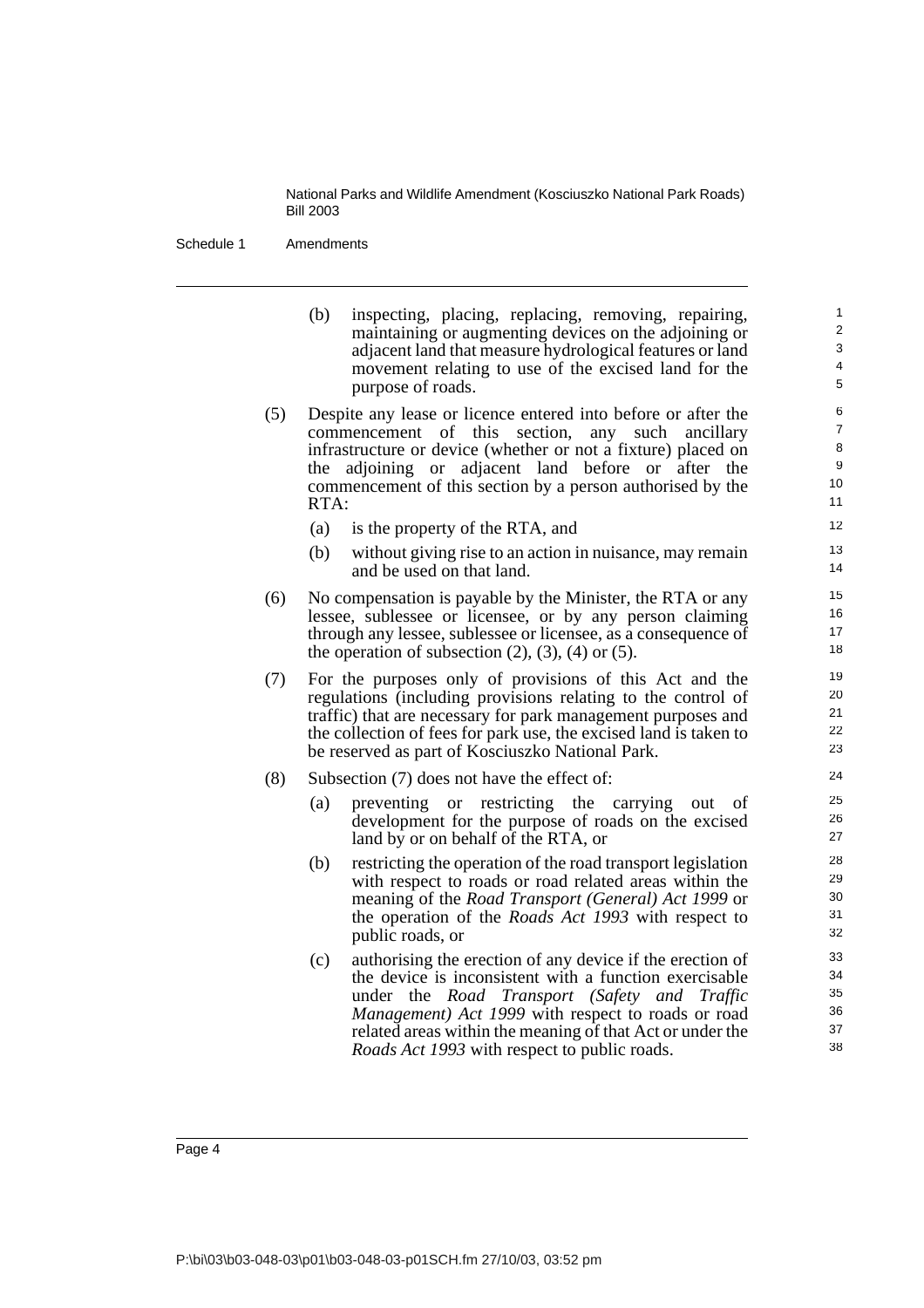Schedule 1 Amendments

(b) inspecting, placing, replacing, removing, repairing, maintaining or augmenting devices on the adjoining or adjacent land that measure hydrological features or land movement relating to use of the excised land for the purpose of roads.

- (5) Despite any lease or licence entered into before or after the commencement of this section, any such ancillary infrastructure or device (whether or not a fixture) placed on the adjoining or adjacent land before or after the commencement of this section by a person authorised by the RTA:
	- (a) is the property of the RTA, and
	- (b) without giving rise to an action in nuisance, may remain and be used on that land.
- (6) No compensation is payable by the Minister, the RTA or any lessee, sublessee or licensee, or by any person claiming through any lessee, sublessee or licensee, as a consequence of the operation of subsection  $(2)$ ,  $(3)$ ,  $(4)$  or  $(5)$ .
- (7) For the purposes only of provisions of this Act and the regulations (including provisions relating to the control of traffic) that are necessary for park management purposes and the collection of fees for park use, the excised land is taken to be reserved as part of Kosciuszko National Park.
- (8) Subsection (7) does not have the effect of:
	- (a) preventing or restricting the carrying out of development for the purpose of roads on the excised land by or on behalf of the RTA, or
	- (b) restricting the operation of the road transport legislation with respect to roads or road related areas within the meaning of the *Road Transport (General) Act 1999* or the operation of the *Roads Act 1993* with respect to public roads, or
	- (c) authorising the erection of any device if the erection of the device is inconsistent with a function exercisable under the *Road Transport (Safety and Traffic Management) Act 1999* with respect to roads or road related areas within the meaning of that Act or under the *Roads Act 1993* with respect to public roads.